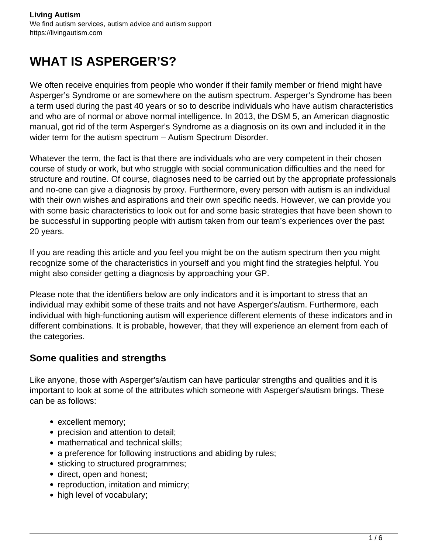# **WHAT IS ASPERGER'S?**

We often receive enquiries from people who wonder if their family member or friend might have Asperger's Syndrome or are somewhere on the autism spectrum. Asperger's Syndrome has been a term used during the past 40 years or so to describe individuals who have autism characteristics and who are of normal or above normal intelligence. In 2013, the DSM 5, an American diagnostic manual, got rid of the term Asperger's Syndrome as a diagnosis on its own and included it in the wider term for the autism spectrum – Autism Spectrum Disorder.

Whatever the term, the fact is that there are individuals who are very competent in their chosen course of study or work, but who struggle with social communication difficulties and the need for structure and routine. Of course, diagnoses need to be carried out by the appropriate professionals and no-one can give a diagnosis by proxy. Furthermore, every person with autism is an individual with their own wishes and aspirations and their own specific needs. However, we can provide you with some basic characteristics to look out for and some basic strategies that have been shown to be successful in supporting people with autism taken from our team's experiences over the past 20 years.

If you are reading this article and you feel you might be on the autism spectrum then you might recognize some of the characteristics in yourself and you might find the strategies helpful. You might also consider getting a diagnosis by approaching your GP.

Please note that the identifiers below are only indicators and it is important to stress that an individual may exhibit some of these traits and not have Asperger's/autism. Furthermore, each individual with high-functioning autism will experience different elements of these indicators and in different combinations. It is probable, however, that they will experience an element from each of the categories.

#### **Some qualities and strengths**

Like anyone, those with Asperger's/autism can have particular strengths and qualities and it is important to look at some of the attributes which someone with Asperger's/autism brings. These can be as follows:

- excellent memory;
- precision and attention to detail;
- mathematical and technical skills:
- a preference for following instructions and abiding by rules;
- sticking to structured programmes;
- direct, open and honest;
- reproduction, imitation and mimicry;
- high level of vocabulary;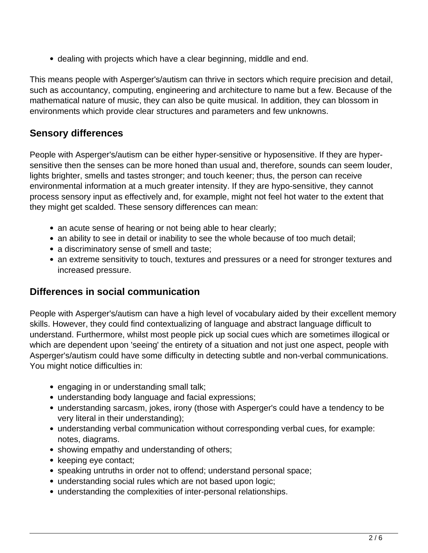dealing with projects which have a clear beginning, middle and end.

This means people with Asperger's/autism can thrive in sectors which require precision and detail, such as accountancy, computing, engineering and architecture to name but a few. Because of the mathematical nature of music, they can also be quite musical. In addition, they can blossom in environments which provide clear structures and parameters and few unknowns.

## **Sensory differences**

People with Asperger's/autism can be either hyper-sensitive or hyposensitive. If they are hypersensitive then the senses can be more honed than usual and, therefore, sounds can seem louder, lights brighter, smells and tastes stronger; and touch keener; thus, the person can receive environmental information at a much greater intensity. If they are hypo-sensitive, they cannot process sensory input as effectively and, for example, might not feel hot water to the extent that they might get scalded. These sensory differences can mean:

- an acute sense of hearing or not being able to hear clearly;
- an ability to see in detail or inability to see the whole because of too much detail;
- a discriminatory sense of smell and taste;
- an extreme sensitivity to touch, textures and pressures or a need for stronger textures and increased pressure.

## **Differences in social communication**

People with Asperger's/autism can have a high level of vocabulary aided by their excellent memory skills. However, they could find contextualizing of language and abstract language difficult to understand. Furthermore, whilst most people pick up social cues which are sometimes illogical or which are dependent upon 'seeing' the entirety of a situation and not just one aspect, people with Asperger's/autism could have some difficulty in detecting subtle and non-verbal communications. You might notice difficulties in:

- engaging in or understanding small talk;
- understanding body language and facial expressions;
- understanding sarcasm, jokes, irony (those with Asperger's could have a tendency to be very literal in their understanding);
- understanding verbal communication without corresponding verbal cues, for example: notes, diagrams.
- showing empathy and understanding of others;
- keeping eye contact;
- speaking untruths in order not to offend; understand personal space;
- understanding social rules which are not based upon logic;
- understanding the complexities of inter-personal relationships.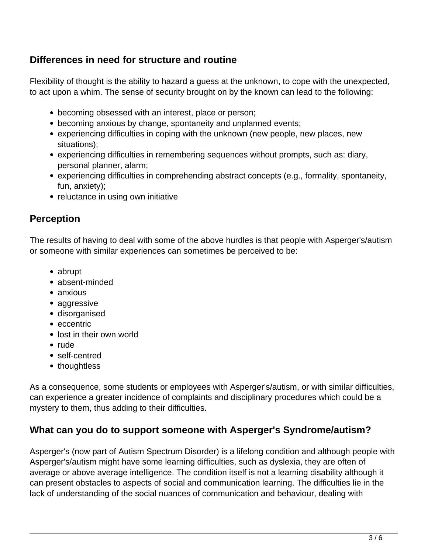## **Differences in need for structure and routine**

Flexibility of thought is the ability to hazard a guess at the unknown, to cope with the unexpected, to act upon a whim. The sense of security brought on by the known can lead to the following:

- becoming obsessed with an interest, place or person;
- becoming anxious by change, spontaneity and unplanned events;
- experiencing difficulties in coping with the unknown (new people, new places, new situations);
- experiencing difficulties in remembering sequences without prompts, such as: diary, personal planner, alarm;
- experiencing difficulties in comprehending abstract concepts (e.g., formality, spontaneity, fun, anxiety);
- reluctance in using own initiative

## **Perception**

The results of having to deal with some of the above hurdles is that people with Asperger's/autism or someone with similar experiences can sometimes be perceived to be:

- abrupt
- absent-minded
- anxious
- aggressive
- disorganised
- eccentric
- lost in their own world
- rude
- self-centred
- thoughtless

As a consequence, some students or employees with Asperger's/autism, or with similar difficulties, can experience a greater incidence of complaints and disciplinary procedures which could be a mystery to them, thus adding to their difficulties.

## **What can you do to support someone with Asperger's Syndrome/autism?**

Asperger's (now part of Autism Spectrum Disorder) is a lifelong condition and although people with Asperger's/autism might have some learning difficulties, such as dyslexia, they are often of average or above average intelligence. The condition itself is not a learning disability although it can present obstacles to aspects of social and communication learning. The difficulties lie in the lack of understanding of the social nuances of communication and behaviour, dealing with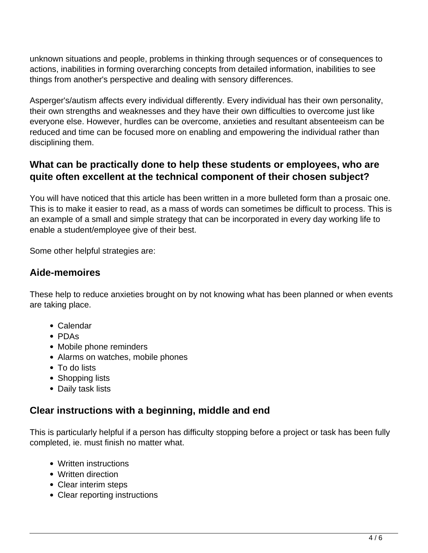unknown situations and people, problems in thinking through sequences or of consequences to actions, inabilities in forming overarching concepts from detailed information, inabilities to see things from another's perspective and dealing with sensory differences.

Asperger's/autism affects every individual differently. Every individual has their own personality, their own strengths and weaknesses and they have their own difficulties to overcome just like everyone else. However, hurdles can be overcome, anxieties and resultant absenteeism can be reduced and time can be focused more on enabling and empowering the individual rather than disciplining them.

## **What can be practically done to help these students or employees, who are quite often excellent at the technical component of their chosen subject?**

You will have noticed that this article has been written in a more bulleted form than a prosaic one. This is to make it easier to read, as a mass of words can sometimes be difficult to process. This is an example of a small and simple strategy that can be incorporated in every day working life to enable a student/employee give of their best.

Some other helpful strategies are:

#### **Aide-memoires**

These help to reduce anxieties brought on by not knowing what has been planned or when events are taking place.

- Calendar
- PDAs
- Mobile phone reminders
- Alarms on watches, mobile phones
- To do lists
- Shopping lists
- Daily task lists

#### **Clear instructions with a beginning, middle and end**

This is particularly helpful if a person has difficulty stopping before a project or task has been fully completed, ie. must finish no matter what.

- Written instructions
- Written direction
- Clear interim steps
- Clear reporting instructions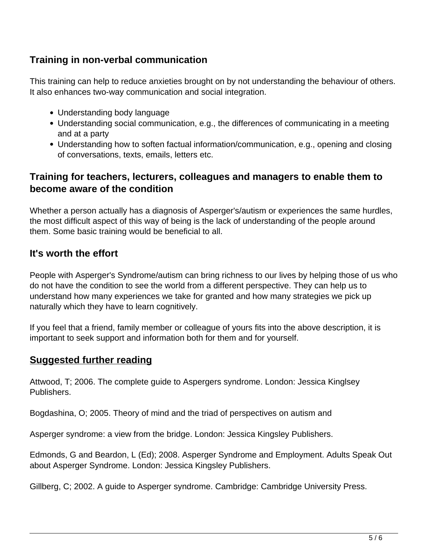# **Training in non-verbal communication**

This training can help to reduce anxieties brought on by not understanding the behaviour of others. It also enhances two-way communication and social integration.

- Understanding body language
- Understanding social communication, e.g., the differences of communicating in a meeting and at a party
- Understanding how to soften factual information/communication, e.g., opening and closing of conversations, texts, emails, letters etc.

## **Training for teachers, lecturers, colleagues and managers to enable them to become aware of the condition**

Whether a person actually has a diagnosis of Asperger's/autism or experiences the same hurdles, the most difficult aspect of this way of being is the lack of understanding of the people around them. Some basic training would be beneficial to all.

## **It's worth the effort**

People with Asperger's Syndrome/autism can bring richness to our lives by helping those of us who do not have the condition to see the world from a different perspective. They can help us to understand how many experiences we take for granted and how many strategies we pick up naturally which they have to learn cognitively.

If you feel that a friend, family member or colleague of yours fits into the above description, it is important to seek support and information both for them and for yourself.

#### **Suggested further reading**

Attwood, T; 2006. The complete guide to Aspergers syndrome. London: Jessica Kinglsey Publishers.

Bogdashina, O; 2005. Theory of mind and the triad of perspectives on autism and

Asperger syndrome: a view from the bridge. London: Jessica Kingsley Publishers.

Edmonds, G and Beardon, L (Ed); 2008. Asperger Syndrome and Employment. Adults Speak Out about Asperger Syndrome. London: Jessica Kingsley Publishers.

Gillberg, C; 2002. A guide to Asperger syndrome. Cambridge: Cambridge University Press.